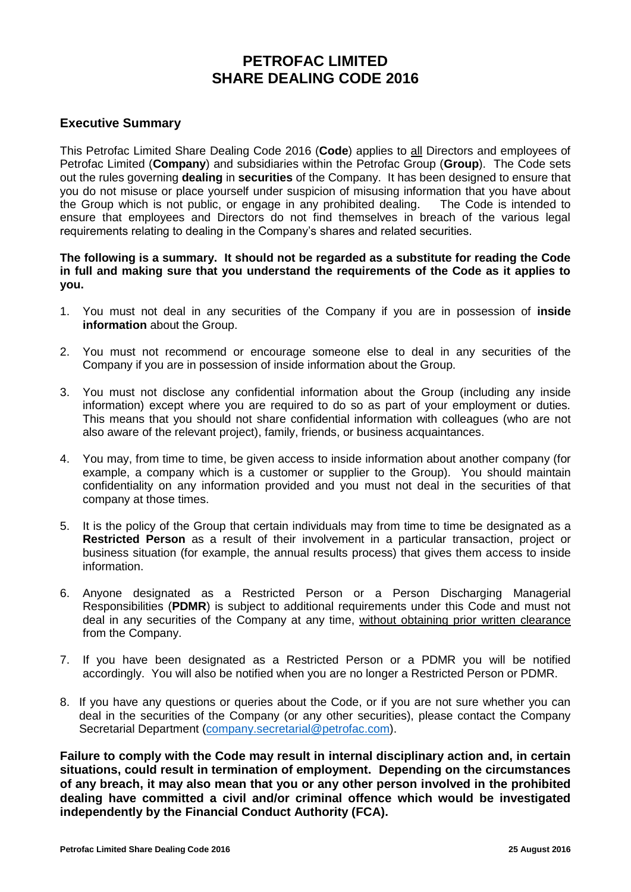# **PETROFAC LIMITED SHARE DEALING CODE 2016**

## **Executive Summary**

This Petrofac Limited Share Dealing Code 2016 (**Code**) applies to all Directors and employees of Petrofac Limited (**Company**) and subsidiaries within the Petrofac Group (**Group**). The Code sets out the rules governing **dealing** in **securities** of the Company. It has been designed to ensure that you do not misuse or place yourself under suspicion of misusing information that you have about the Group which is not public, or engage in any prohibited dealing. The Code is intended to ensure that employees and Directors do not find themselves in breach of the various legal requirements relating to dealing in the Company's shares and related securities.

### **The following is a summary. It should not be regarded as a substitute for reading the Code in full and making sure that you understand the requirements of the Code as it applies to you.**

- 1. You must not deal in any securities of the Company if you are in possession of **inside information** about the Group.
- 2. You must not recommend or encourage someone else to deal in any securities of the Company if you are in possession of inside information about the Group.
- 3. You must not disclose any confidential information about the Group (including any inside information) except where you are required to do so as part of your employment or duties. This means that you should not share confidential information with colleagues (who are not also aware of the relevant project), family, friends, or business acquaintances.
- 4. You may, from time to time, be given access to inside information about another company (for example, a company which is a customer or supplier to the Group). You should maintain confidentiality on any information provided and you must not deal in the securities of that company at those times.
- 5. It is the policy of the Group that certain individuals may from time to time be designated as a **Restricted Person** as a result of their involvement in a particular transaction, project or business situation (for example, the annual results process) that gives them access to inside information.
- 6. Anyone designated as a Restricted Person or a Person Discharging Managerial Responsibilities (**PDMR**) is subject to additional requirements under this Code and must not deal in any securities of the Company at any time, without obtaining prior written clearance from the Company.
- 7. If you have been designated as a Restricted Person or a PDMR you will be notified accordingly. You will also be notified when you are no longer a Restricted Person or PDMR.
- 8. If you have any questions or queries about the Code, or if you are not sure whether you can deal in the securities of the Company (or any other securities), please contact the Company Secretarial Department [\(company.secretarial@petrofac.com\)](mailto:company.secretarial@petrofac.com).

**Failure to comply with the Code may result in internal disciplinary action and, in certain situations, could result in termination of employment. Depending on the circumstances of any breach, it may also mean that you or any other person involved in the prohibited dealing have committed a civil and/or criminal offence which would be investigated independently by the Financial Conduct Authority (FCA).**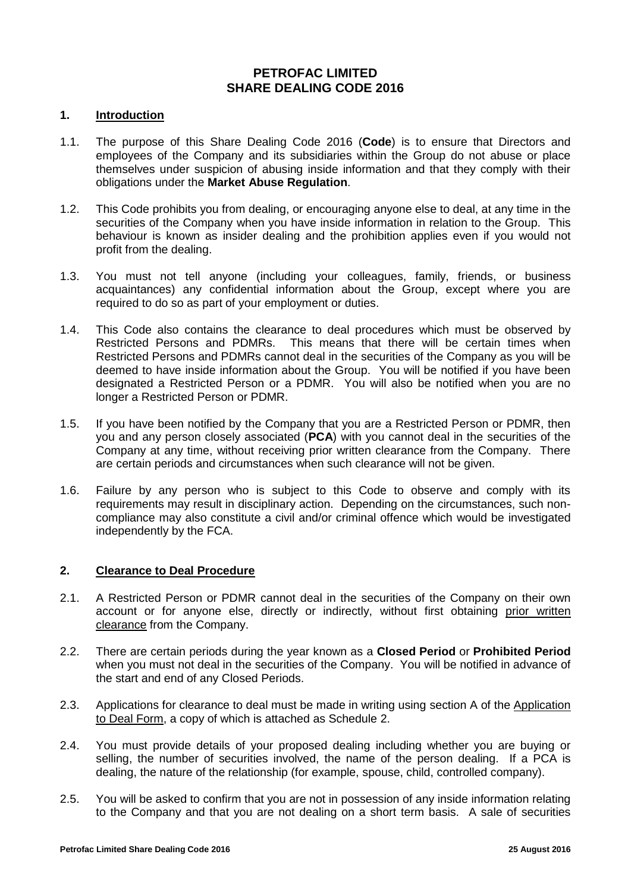### **PETROFAC LIMITED SHARE DEALING CODE 2016**

### **1. Introduction**

- 1.1. The purpose of this Share Dealing Code 2016 (**Code**) is to ensure that Directors and employees of the Company and its subsidiaries within the Group do not abuse or place themselves under suspicion of abusing inside information and that they comply with their obligations under the **Market Abuse Regulation**.
- 1.2. This Code prohibits you from dealing, or encouraging anyone else to deal, at any time in the securities of the Company when you have inside information in relation to the Group. This behaviour is known as insider dealing and the prohibition applies even if you would not profit from the dealing.
- 1.3. You must not tell anyone (including your colleagues, family, friends, or business acquaintances) any confidential information about the Group, except where you are required to do so as part of your employment or duties.
- 1.4. This Code also contains the clearance to deal procedures which must be observed by Restricted Persons and PDMRs. This means that there will be certain times when Restricted Persons and PDMRs cannot deal in the securities of the Company as you will be deemed to have inside information about the Group. You will be notified if you have been designated a Restricted Person or a PDMR. You will also be notified when you are no longer a Restricted Person or PDMR.
- 1.5. If you have been notified by the Company that you are a Restricted Person or PDMR, then you and any person closely associated (**PCA**) with you cannot deal in the securities of the Company at any time, without receiving prior written clearance from the Company. There are certain periods and circumstances when such clearance will not be given.
- 1.6. Failure by any person who is subject to this Code to observe and comply with its requirements may result in disciplinary action. Depending on the circumstances, such noncompliance may also constitute a civil and/or criminal offence which would be investigated independently by the FCA.

### **2. Clearance to Deal Procedure**

- 2.1. A Restricted Person or PDMR cannot deal in the securities of the Company on their own account or for anyone else, directly or indirectly, without first obtaining prior written clearance from the Company.
- 2.2. There are certain periods during the year known as a **Closed Period** or **Prohibited Period** when you must not deal in the securities of the Company. You will be notified in advance of the start and end of any Closed Periods.
- 2.3. Applications for clearance to deal must be made in writing using section A of the Application to Deal Form, a copy of which is attached as Schedule 2.
- 2.4. You must provide details of your proposed dealing including whether you are buying or selling, the number of securities involved, the name of the person dealing. If a PCA is dealing, the nature of the relationship (for example, spouse, child, controlled company).
- 2.5. You will be asked to confirm that you are not in possession of any inside information relating to the Company and that you are not dealing on a short term basis. A sale of securities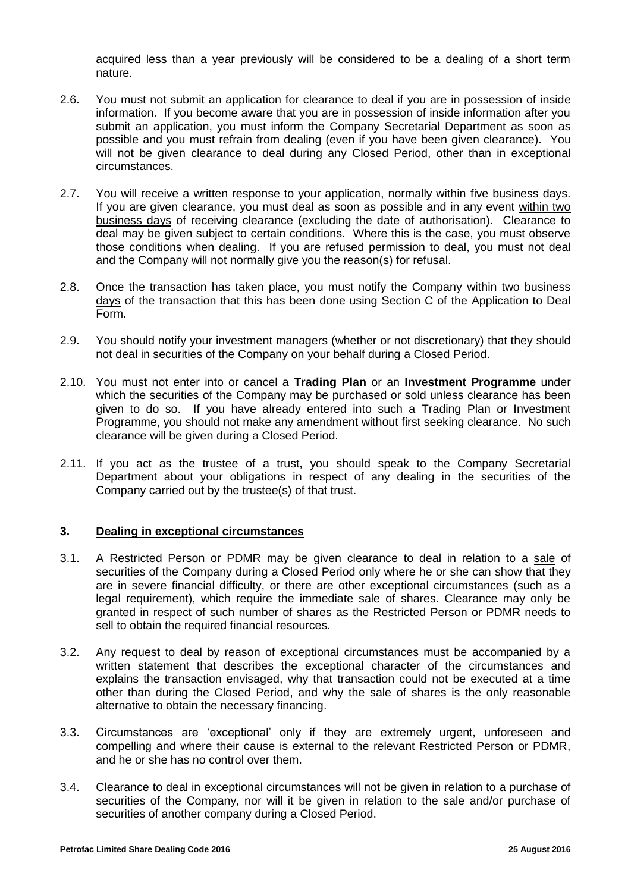acquired less than a year previously will be considered to be a dealing of a short term nature.

- 2.6. You must not submit an application for clearance to deal if you are in possession of inside information. If you become aware that you are in possession of inside information after you submit an application, you must inform the Company Secretarial Department as soon as possible and you must refrain from dealing (even if you have been given clearance). You will not be given clearance to deal during any Closed Period, other than in exceptional circumstances.
- 2.7. You will receive a written response to your application, normally within five business days. If you are given clearance, you must deal as soon as possible and in any event within two business days of receiving clearance (excluding the date of authorisation). Clearance to deal may be given subject to certain conditions. Where this is the case, you must observe those conditions when dealing. If you are refused permission to deal, you must not deal and the Company will not normally give you the reason(s) for refusal.
- 2.8. Once the transaction has taken place, you must notify the Company within two business days of the transaction that this has been done using Section C of the Application to Deal Form.
- 2.9. You should notify your investment managers (whether or not discretionary) that they should not deal in securities of the Company on your behalf during a Closed Period.
- 2.10. You must not enter into or cancel a **Trading Plan** or an **Investment Programme** under which the securities of the Company may be purchased or sold unless clearance has been given to do so. If you have already entered into such a Trading Plan or Investment Programme, you should not make any amendment without first seeking clearance. No such clearance will be given during a Closed Period.
- 2.11. If you act as the trustee of a trust, you should speak to the Company Secretarial Department about your obligations in respect of any dealing in the securities of the Company carried out by the trustee(s) of that trust.

### **3. Dealing in exceptional circumstances**

- 3.1. A Restricted Person or PDMR may be given clearance to deal in relation to a sale of securities of the Company during a Closed Period only where he or she can show that they are in severe financial difficulty, or there are other exceptional circumstances (such as a legal requirement), which require the immediate sale of shares. Clearance may only be granted in respect of such number of shares as the Restricted Person or PDMR needs to sell to obtain the required financial resources.
- 3.2. Any request to deal by reason of exceptional circumstances must be accompanied by a written statement that describes the exceptional character of the circumstances and explains the transaction envisaged, why that transaction could not be executed at a time other than during the Closed Period, and why the sale of shares is the only reasonable alternative to obtain the necessary financing.
- 3.3. Circumstances are 'exceptional' only if they are extremely urgent, unforeseen and compelling and where their cause is external to the relevant Restricted Person or PDMR, and he or she has no control over them.
- 3.4. Clearance to deal in exceptional circumstances will not be given in relation to a purchase of securities of the Company, nor will it be given in relation to the sale and/or purchase of securities of another company during a Closed Period.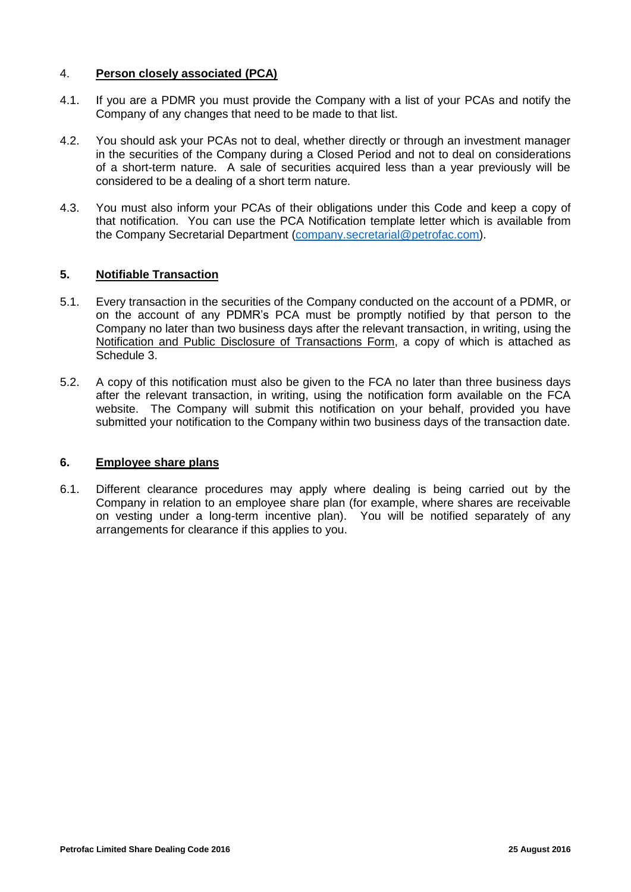### 4. **Person closely associated (PCA)**

- 4.1. If you are a PDMR you must provide the Company with a list of your PCAs and notify the Company of any changes that need to be made to that list.
- 4.2. You should ask your PCAs not to deal, whether directly or through an investment manager in the securities of the Company during a Closed Period and not to deal on considerations of a short-term nature. A sale of securities acquired less than a year previously will be considered to be a dealing of a short term nature.
- 4.3. You must also inform your PCAs of their obligations under this Code and keep a copy of that notification. You can use the PCA Notification template letter which is available from the Company Secretarial Department [\(company.secretarial@petrofac.com\)](mailto:company.secretarial@petrofac.com).

### **5. Notifiable Transaction**

- 5.1. Every transaction in the securities of the Company conducted on the account of a PDMR, or on the account of any PDMR's PCA must be promptly notified by that person to the Company no later than two business days after the relevant transaction, in writing, using the Notification and Public Disclosure of Transactions Form, a copy of which is attached as Schedule 3.
- 5.2. A copy of this notification must also be given to the FCA no later than three business days after the relevant transaction, in writing, using the notification form available on the FCA website. The Company will submit this notification on your behalf, provided you have submitted your notification to the Company within two business days of the transaction date.

### **6. Employee share plans**

6.1. Different clearance procedures may apply where dealing is being carried out by the Company in relation to an employee share plan (for example, where shares are receivable on vesting under a long-term incentive plan). You will be notified separately of any arrangements for clearance if this applies to you.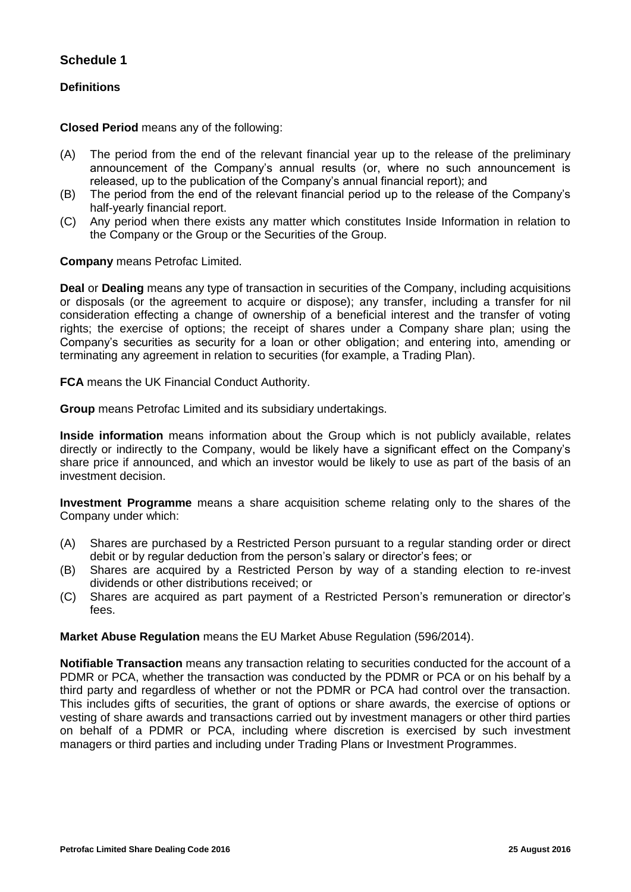## **Schedule 1**

## **Definitions**

**Closed Period** means any of the following:

- (A) The period from the end of the relevant financial year up to the release of the preliminary announcement of the Company's annual results (or, where no such announcement is released, up to the publication of the Company's annual financial report); and
- (B) The period from the end of the relevant financial period up to the release of the Company's half-yearly financial report.
- (C) Any period when there exists any matter which constitutes Inside Information in relation to the Company or the Group or the Securities of the Group.

**Company** means Petrofac Limited.

**Deal** or **Dealing** means any type of transaction in securities of the Company, including acquisitions or disposals (or the agreement to acquire or dispose); any transfer, including a transfer for nil consideration effecting a change of ownership of a beneficial interest and the transfer of voting rights; the exercise of options; the receipt of shares under a Company share plan; using the Company's securities as security for a loan or other obligation; and entering into, amending or terminating any agreement in relation to securities (for example, a Trading Plan).

**FCA** means the UK Financial Conduct Authority.

**Group** means Petrofac Limited and its subsidiary undertakings.

**Inside information** means information about the Group which is not publicly available, relates directly or indirectly to the Company, would be likely have a significant effect on the Company's share price if announced, and which an investor would be likely to use as part of the basis of an investment decision.

**Investment Programme** means a share acquisition scheme relating only to the shares of the Company under which:

- (A) Shares are purchased by a Restricted Person pursuant to a regular standing order or direct debit or by regular deduction from the person's salary or director's fees; or
- (B) Shares are acquired by a Restricted Person by way of a standing election to re-invest dividends or other distributions received; or
- (C) Shares are acquired as part payment of a Restricted Person's remuneration or director's fees.

**Market Abuse Regulation** means the EU Market Abuse Regulation (596/2014).

**Notifiable Transaction** means any transaction relating to securities conducted for the account of a PDMR or PCA, whether the transaction was conducted by the PDMR or PCA or on his behalf by a third party and regardless of whether or not the PDMR or PCA had control over the transaction. This includes gifts of securities, the grant of options or share awards, the exercise of options or vesting of share awards and transactions carried out by investment managers or other third parties on behalf of a PDMR or PCA, including where discretion is exercised by such investment managers or third parties and including under Trading Plans or Investment Programmes.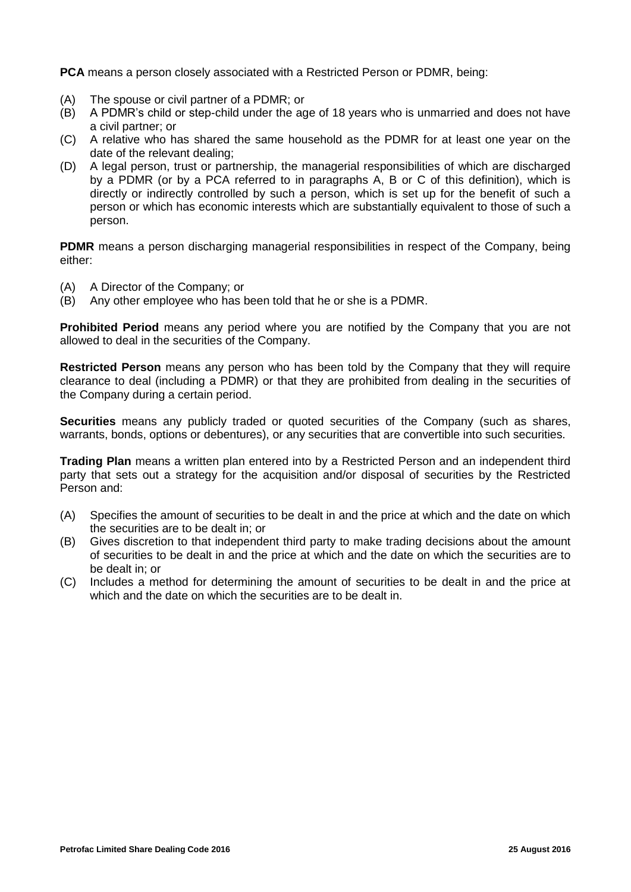**PCA** means a person closely associated with a Restricted Person or PDMR, being:

- (A) The spouse or civil partner of a PDMR; or
- (B) A PDMR's child or step-child under the age of 18 years who is unmarried and does not have a civil partner; or
- (C) A relative who has shared the same household as the PDMR for at least one year on the date of the relevant dealing;
- (D) A legal person, trust or partnership, the managerial responsibilities of which are discharged by a PDMR (or by a PCA referred to in paragraphs A, B or C of this definition), which is directly or indirectly controlled by such a person, which is set up for the benefit of such a person or which has economic interests which are substantially equivalent to those of such a person.

**PDMR** means a person discharging managerial responsibilities in respect of the Company, being either:

- (A) A Director of the Company; or
- (B) Any other employee who has been told that he or she is a PDMR.

**Prohibited Period** means any period where you are notified by the Company that you are not allowed to deal in the securities of the Company.

**Restricted Person** means any person who has been told by the Company that they will require clearance to deal (including a PDMR) or that they are prohibited from dealing in the securities of the Company during a certain period.

**Securities** means any publicly traded or quoted securities of the Company (such as shares, warrants, bonds, options or debentures), or any securities that are convertible into such securities.

**Trading Plan** means a written plan entered into by a Restricted Person and an independent third party that sets out a strategy for the acquisition and/or disposal of securities by the Restricted Person and:

- (A) Specifies the amount of securities to be dealt in and the price at which and the date on which the securities are to be dealt in; or
- (B) Gives discretion to that independent third party to make trading decisions about the amount of securities to be dealt in and the price at which and the date on which the securities are to be dealt in; or
- (C) Includes a method for determining the amount of securities to be dealt in and the price at which and the date on which the securities are to be dealt in.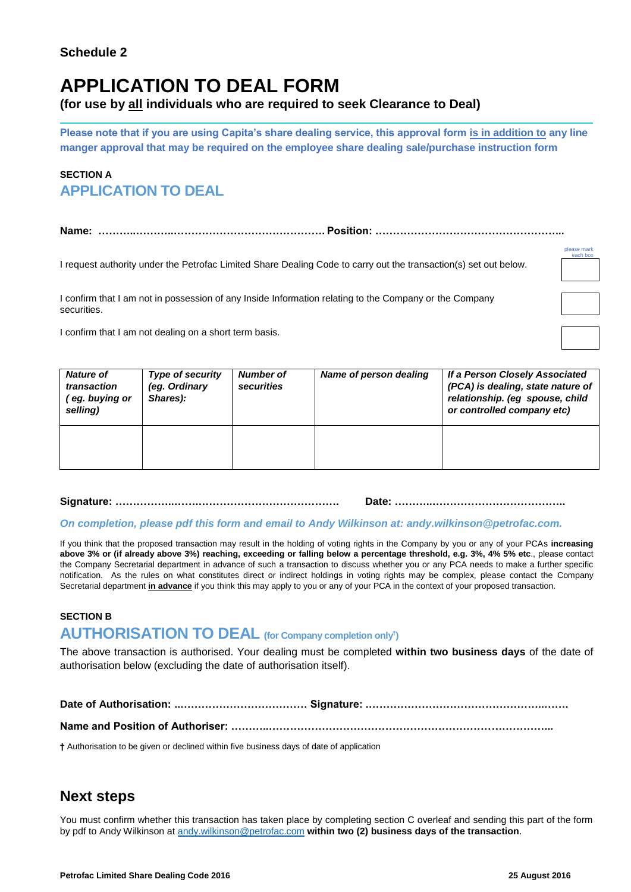# **APPLICATION TO DEAL FORM**

**(for use by all individuals who are required to seek Clearance to Deal)** 

**Please note that if you are using Capita's share dealing service, this approval form is in addition to any line manger approval that may be required on the employee share dealing sale/purchase instruction form**

# **SECTION A APPLICATION TO DEAL**

**Name: ………..………..……………………………………. Position: ……………………………………………...**

I request authority under the Petrofac Limited Share Dealing Code to carry out the transaction(s) set out below.

I confirm that I am not in possession of any Inside Information relating to the Company or the Company securities.

I confirm that I am not dealing on a short term basis.

| <b>Nature of</b><br>transaction<br>eg. buying or<br>selling) | Type of security<br>(eg. Ordinary<br>Shares): | <b>Number of</b><br>securities | Name of person dealing | If a Person Closely Associated<br>(PCA) is dealing, state nature of<br>relationship. (eg spouse, child<br>or controlled company etc) |
|--------------------------------------------------------------|-----------------------------------------------|--------------------------------|------------------------|--------------------------------------------------------------------------------------------------------------------------------------|
|                                                              |                                               |                                |                        |                                                                                                                                      |

### **Signature: ……………..…….…………………………………. Date: ………..………………………………..**

### *On completion, please pdf this form and email to Andy Wilkinson at: andy.wilkinson@petrofac.com.*

If you think that the proposed transaction may result in the holding of voting rights in the Company by you or any of your PCAs **increasing above 3% or (if already above 3%) reaching, exceeding or falling below a percentage threshold, e.g. 3%, 4% 5% etc**., please contact the Company Secretarial department in advance of such a transaction to discuss whether you or any PCA needs to make a further specific notification. As the rules on what constitutes direct or indirect holdings in voting rights may be complex, please contact the Company Secretarial department **in advance** if you think this may apply to you or any of your PCA in the context of your proposed transaction.

### **SECTION B**

# **AUTHORISATION TO DEAL (for Company completion only† )**

The above transaction is authorised. Your dealing must be completed **within two business days** of the date of authorisation below (excluding the date of authorisation itself).

**Date of Authorisation: ..……………………………… Signature: .…………………………………………..…….**

**Name and Position of Authoriser: ………..……………………………………………………………………...**

**†** Authorisation to be given or declined within five business days of date of application

# **Next steps**

You must confirm whether this transaction has taken place by completing section C overleaf and sending this part of the form by pdf to Andy Wilkinson at [andy.wilkinson@petrofac.com](mailto:andy.wilkinson@petrofac.com) **within two (2) business days of the transaction**.

please mark each box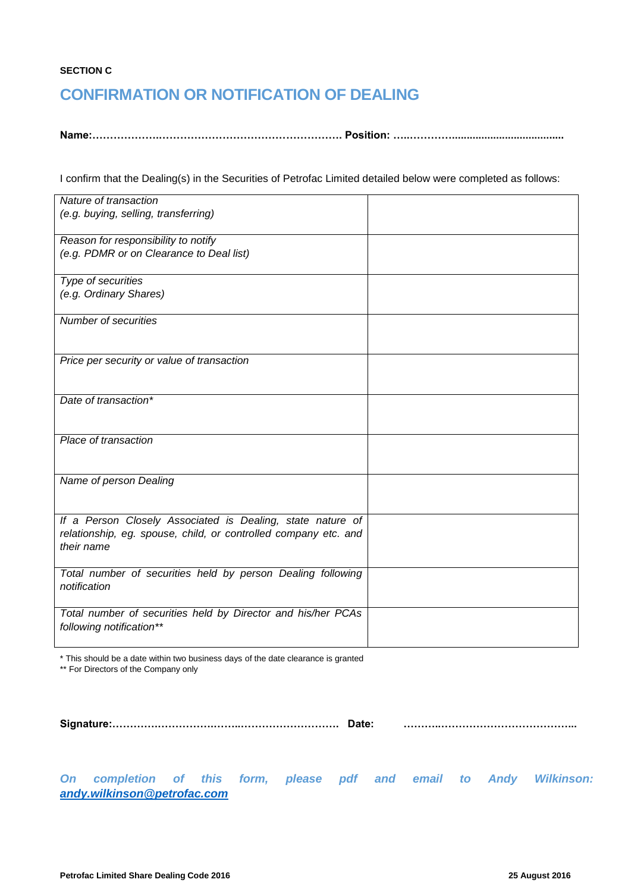### **SECTION C**

# **CONFIRMATION OR NOTIFICATION OF DEALING**

**Name:……………….……………………………………………. Position: …..…………......................................**

I confirm that the Dealing(s) in the Securities of Petrofac Limited detailed below were completed as follows:

| Nature of transaction                                                                                                         |  |
|-------------------------------------------------------------------------------------------------------------------------------|--|
| (e.g. buying, selling, transferring)                                                                                          |  |
| Reason for responsibility to notify                                                                                           |  |
| (e.g. PDMR or on Clearance to Deal list)                                                                                      |  |
| Type of securities                                                                                                            |  |
| (e.g. Ordinary Shares)                                                                                                        |  |
| Number of securities                                                                                                          |  |
|                                                                                                                               |  |
| Price per security or value of transaction                                                                                    |  |
|                                                                                                                               |  |
| Date of transaction*                                                                                                          |  |
|                                                                                                                               |  |
| Place of transaction                                                                                                          |  |
|                                                                                                                               |  |
| Name of person Dealing                                                                                                        |  |
|                                                                                                                               |  |
|                                                                                                                               |  |
| If a Person Closely Associated is Dealing, state nature of<br>relationship, eg. spouse, child, or controlled company etc. and |  |
| their name                                                                                                                    |  |
|                                                                                                                               |  |
| Total number of securities held by person Dealing following<br>notification                                                   |  |
|                                                                                                                               |  |
| Total number of securities held by Director and his/her PCAs                                                                  |  |
| following notification**                                                                                                      |  |
|                                                                                                                               |  |

\* This should be a date within two business days of the date clearance is granted \*\* For Directors of the Company only

|  | Date: |
|--|-------|
|--|-------|

**Signature:………….…………….……..………………………. Date: ………..………………………………...**

*On completion of this form, please pdf and email to Andy Wilkinson: [andy.wilkinson@petrofac.com](mailto:andy.wilkinson@petrofac.com)*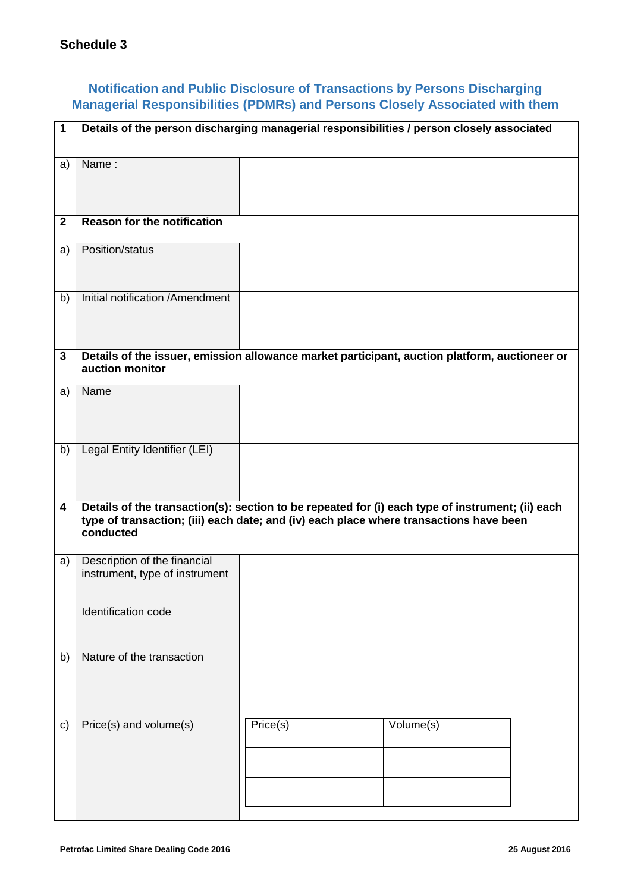# **Notification and Public Disclosure of Transactions by Persons Discharging Managerial Responsibilities (PDMRs) and Persons Closely Associated with them**

| 1            | Details of the person discharging managerial responsibilities / person closely associated                                                                                                               |          |                                                                                               |
|--------------|---------------------------------------------------------------------------------------------------------------------------------------------------------------------------------------------------------|----------|-----------------------------------------------------------------------------------------------|
| a)           | Name:                                                                                                                                                                                                   |          |                                                                                               |
| $\mathbf{2}$ | <b>Reason for the notification</b>                                                                                                                                                                      |          |                                                                                               |
| a)           | Position/status                                                                                                                                                                                         |          |                                                                                               |
| b)           | Initial notification /Amendment                                                                                                                                                                         |          |                                                                                               |
| 3            | auction monitor                                                                                                                                                                                         |          | Details of the issuer, emission allowance market participant, auction platform, auctioneer or |
| a)           | Name                                                                                                                                                                                                    |          |                                                                                               |
| b)           | Legal Entity Identifier (LEI)                                                                                                                                                                           |          |                                                                                               |
| 4            | Details of the transaction(s): section to be repeated for (i) each type of instrument; (ii) each<br>type of transaction; (iii) each date; and (iv) each place where transactions have been<br>conducted |          |                                                                                               |
| a)           | Description of the financial<br>instrument, type of instrument                                                                                                                                          |          |                                                                                               |
|              | Identification code                                                                                                                                                                                     |          |                                                                                               |
| b)           | Nature of the transaction                                                                                                                                                                               |          |                                                                                               |
| C)           | Price(s) and volume(s)                                                                                                                                                                                  | Price(s) | Volume(s)                                                                                     |